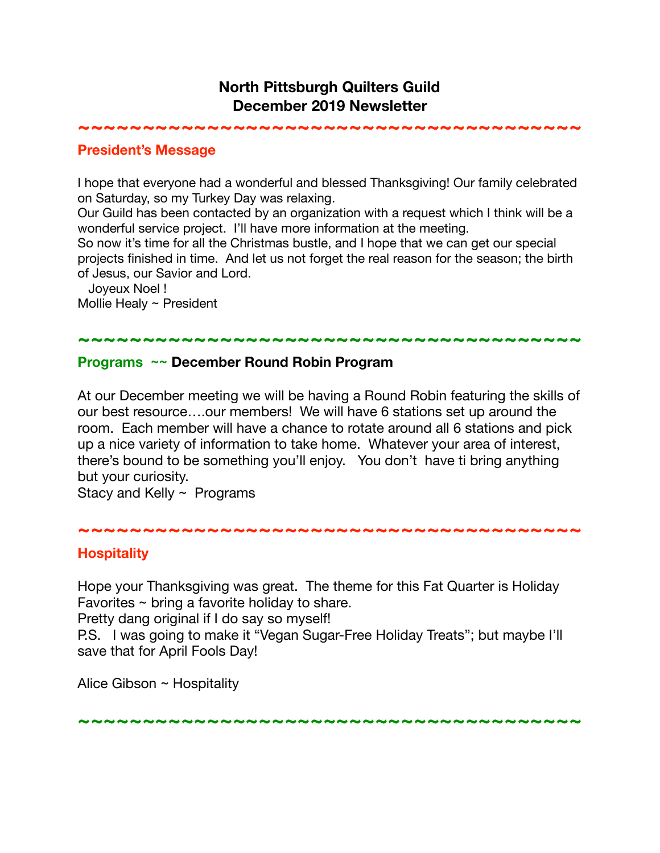## **North Pittsburgh Quilters Guild December 2019 Newsletter**

**~~~~~~~~~~~~~~~~~~~~~~~~~~~~~~~~~~~~~~~** 

#### **President's Message**

I hope that everyone had a wonderful and blessed Thanksgiving! Our family celebrated on Saturday, so my Turkey Day was relaxing.

Our Guild has been contacted by an organization with a request which I think will be a wonderful service project. I'll have more information at the meeting.

So now it's time for all the Christmas bustle, and I hope that we can get our special projects finished in time. And let us not forget the real reason for the season; the birth of Jesus, our Savior and Lord.

 Joyeux Noel ! Mollie Healy ~ President

# **~~~~~~~~~~~~~~~~~~~~~~~~~~~~~~~~~~~~~~~**

### **Programs ~~ December Round Robin Program**

At our December meeting we will be having a Round Robin featuring the skills of our best resource….our members! We will have 6 stations set up around the room. Each member will have a chance to rotate around all 6 stations and pick up a nice variety of information to take home. Whatever your area of interest, there's bound to be something you'll enjoy. You don't have ti bring anything but your curiosity.

Stacy and Kelly ~ Programs

**~~~~~~~~~~~~~~~~~~~~~~~~~~~~~~~~~~~~~~~**

### **Hospitality**

Hope your Thanksgiving was great. The theme for this Fat Quarter is Holiday Favorites ~ bring a favorite holiday to share.

Pretty dang original if I do say so myself!

P.S. I was going to make it "Vegan Sugar-Free Holiday Treats"; but maybe I'll save that for April Fools Day!

Alice Gibson  $\sim$  Hospitality

**~~~~~~~~~~~~~~~~~~~~~~~~~~~~~~~~~~~~~~~**